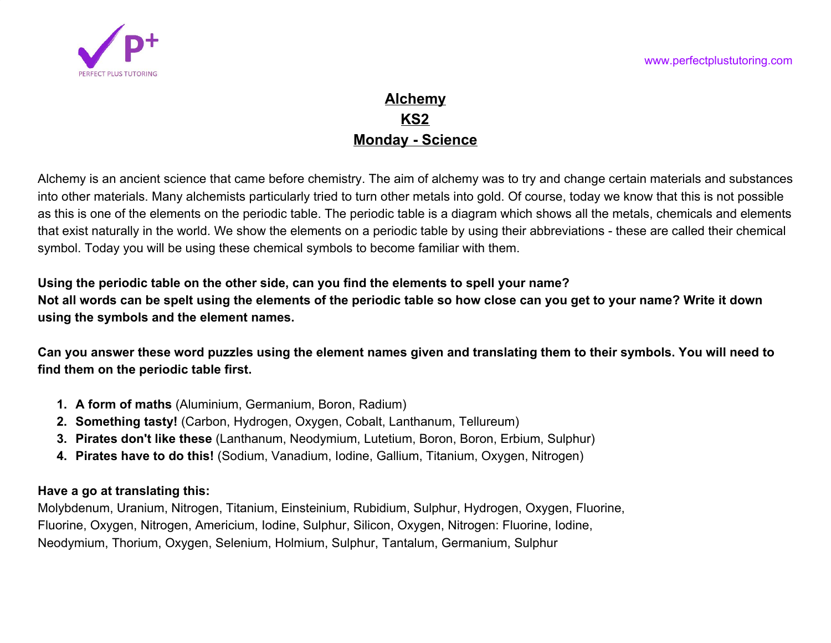

## **Alchemy KS2 Monday - Science**

Alchemy is an ancient science that came before chemistry. The aim of alchemy was to try and change certain materials and substances into other materials. Many alchemists particularly tried to turn other metals into gold. Of course, today we know that this is not possible as this is one of the elements on the periodic table. The periodic table is a diagram which shows all the metals, chemicals and elements that exist naturally in the world. We show the elements on a periodic table by using their abbreviations - these are called their chemical symbol. Today you will be using these chemical symbols to become familiar with them.

**Using the periodic table on the other side, can you find the elements to spell your name? Not all words can be spelt using the elements of the periodic table so how close can you get to your name? Write it down using the symbols and the element names.**

**Can you answer these word puzzles using the element names given and translating them to their symbols. You will need to find them on the periodic table first.**

- **1. A form of maths** (Aluminium, Germanium, Boron, Radium)
- **2. Something tasty!** (Carbon, Hydrogen, Oxygen, Cobalt, Lanthanum, Tellureum)
- **3. Pirates don't like these** (Lanthanum, Neodymium, Lutetium, Boron, Boron, Erbium, Sulphur)
- **4. Pirates have to do this!** (Sodium, Vanadium, Iodine, Gallium, Titanium, Oxygen, Nitrogen)

## **Have a go at translating this:**

Molybdenum, Uranium, Nitrogen, Titanium, Einsteinium, Rubidium, Sulphur, Hydrogen, Oxygen, Fluorine, Fluorine, Oxygen, Nitrogen, Americium, Iodine, Sulphur, Silicon, Oxygen, Nitrogen: Fluorine, Iodine, Neodymium, Thorium, Oxygen, Selenium, Holmium, Sulphur, Tantalum, Germanium, Sulphur